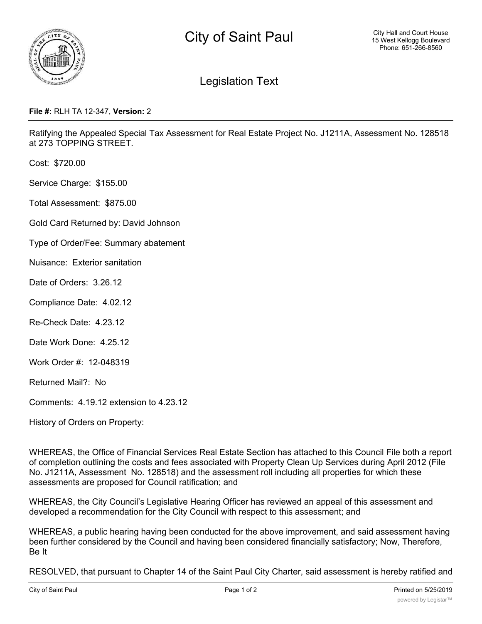

## Legislation Text

## **File #:** RLH TA 12-347, **Version:** 2

Ratifying the Appealed Special Tax Assessment for Real Estate Project No. J1211A, Assessment No. 128518 at 273 TOPPING STREET.

Cost: \$720.00

Service Charge: \$155.00

Total Assessment: \$875.00

Gold Card Returned by: David Johnson

Type of Order/Fee: Summary abatement

Nuisance: Exterior sanitation

Date of Orders: 3.26.12

Compliance Date: 4.02.12

Re-Check Date: 4.23.12

Date Work Done: 4.25.12

Work Order #: 12-048319

Returned Mail?: No

Comments: 4.19.12 extension to 4.23.12

History of Orders on Property:

WHEREAS, the Office of Financial Services Real Estate Section has attached to this Council File both a report of completion outlining the costs and fees associated with Property Clean Up Services during April 2012 (File No. J1211A, Assessment No. 128518) and the assessment roll including all properties for which these assessments are proposed for Council ratification; and

WHEREAS, the City Council's Legislative Hearing Officer has reviewed an appeal of this assessment and developed a recommendation for the City Council with respect to this assessment; and

WHEREAS, a public hearing having been conducted for the above improvement, and said assessment having been further considered by the Council and having been considered financially satisfactory; Now, Therefore, Be It

RESOLVED, that pursuant to Chapter 14 of the Saint Paul City Charter, said assessment is hereby ratified and